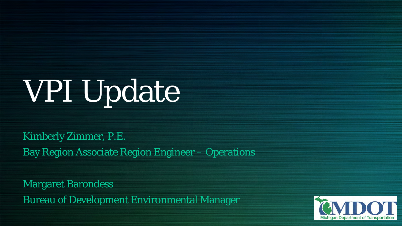# VPI Update

Kimberly Zimmer, P.E. Bay Region Associate Region Engineer – Operations

Margaret Barondess Bureau of Development Environmental Manager

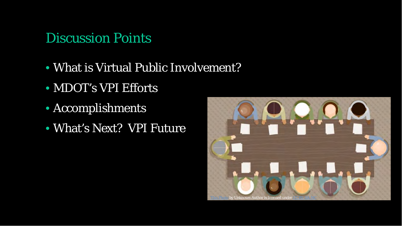#### Discussion Points

- What is Virtual Public Involvement?
- MDOT's VPI Efforts
- Accomplishments
- What's Next? VPI Future

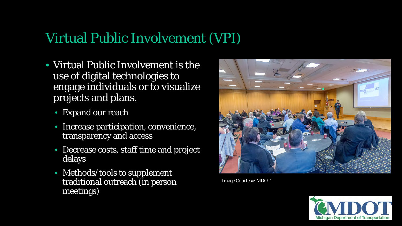#### Virtual Public Involvement (VPI)

- Virtual Public Involvement is the use of digital technologies to engage individuals or to visualize projects and plans.
	- Expand our reach
	- Increase participation, convenience, transparency and access
	- Decrease costs, staff time and project delays
	- Methods/tools to supplement traditional outreach (in person meetings)



Image Courtesy: MDOT

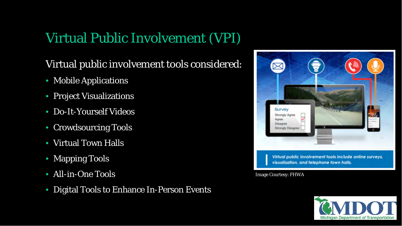#### Virtual Public Involvement (VPI)

#### Virtual public involvement tools considered:

- Mobile Applications
- Project Visualizations
- Do-It-Yourself Videos
- Crowdsourcing Tools
- Virtual Town Halls
- Mapping Tools
- All-in-One Tools
- Digital Tools to Enhance In-Person Events



Image Courtesy: FHWA

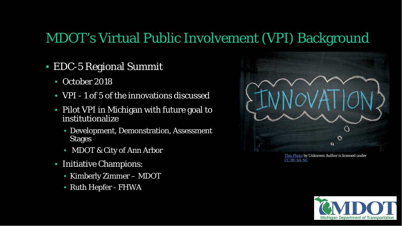#### MDOT's Virtual Public Involvement (VPI) Background

- EDC-5 Regional Summit
	- October 2018
	- VPI 1 of 5 of the innovations discussed
	- Pilot VPI in Michigan with future goal to institutionalize
		- Development, Demonstration, Assessment Stages
		- MDOT & City of Ann Arbor
	- Initiative Champions:
		- Kimberly Zimmer MDOT
		- Ruth Hepfer FHWA



[This Photo](http://www.devpolicy.org/innovation-in-the-australian-aid-program-part-one-some-concepts-20140805/) by Unknown Author is licensed under [CC BY-SA-NC](https://creativecommons.org/licenses/by-nc-sa/3.0/)

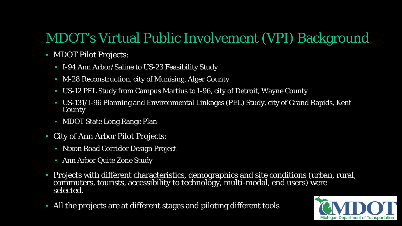### MDOT's Virtual Public Involvement (VPI) Background

- MDOT Pilot Projects:
	- I-94 Ann Arbor/Saline to US-23 Feasibility Study
	- M-28 Reconstruction, city of Munising, Alger County
	- US-12 PEL Study from Campus Martius to I-96, city of Detroit, Wayne County
	- US-131/I-96 Planning and Environmental Linkages (PEL) Study, city of Grand Rapids, Kent County
	- MDOT State Long Range Plan
- City of Ann Arbor Pilot Projects:
	- Nixon Road Corridor Design Project
	- Ann Arbor Quite Zone Study
- Projects with different characteristics, demographics and site conditions (urban, rural, commuters, tourists, accessibility to technology, multi-modal, end users) were selected.
- All the projects are at different stages and piloting different tools

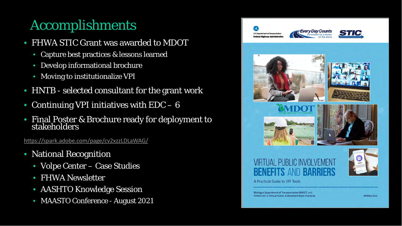## Accomplishments

- FHWA STIC Grant was awarded to MDOT
	- Capture best practices & lessons learned
	- Develop informational brochure
	- Moving to institutionalize VPI
- HNTB selected consultant for the grant work
- Continuing VPI initiatives with  $EDC 6$
- Final Poster & Brochure ready for deployment to stakeholders

<https://spark.adobe.com/page/cv2xzzLDLaWAG/>

- National Recognition
	- Volpe Center Case Studies
	- FHWA Newsletter
	- AASHTO Knowledge Session
	- MAASTO Conference August 2021

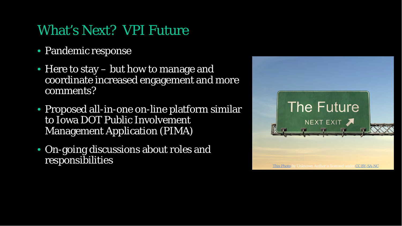#### What's Next? VPI Future

- Pandemic response
- Here to stay but how to manage and coordinate increased engagement and more comments?
- Proposed all-in-one on-line platform similar to Iowa DOT Public Involvement Management Application (PIMA)
- On-going discussions about roles and responsibilities